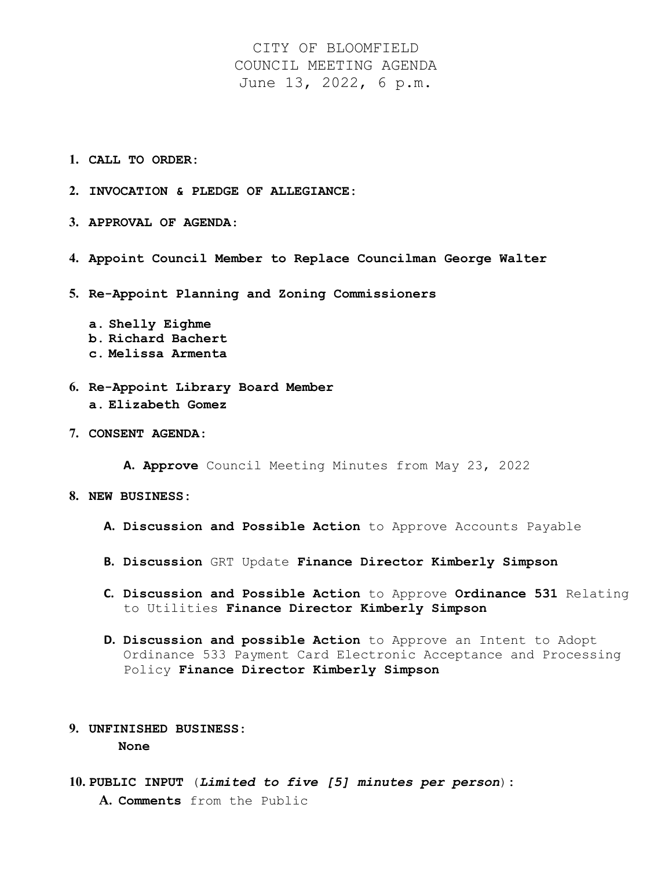CITY OF BLOOMFIELD COUNCIL MEETING AGENDA June 13, 2022, 6 p.m.

- **1. CALL TO ORDER:**
- **2. INVOCATION & PLEDGE OF ALLEGIANCE:**
- **3. APPROVAL OF AGENDA**:
- **4. Appoint Council Member to Replace Councilman George Walter**
- **5. Re-Appoint Planning and Zoning Commissioners**
	- **a. Shelly Eighme b. Richard Bachert c. Melissa Armenta**
- **6. Re-Appoint Library Board Member a. Elizabeth Gomez**
- **7. CONSENT AGENDA:**

**A. Approve** Council Meeting Minutes from May 23, 2022

- **8. NEW BUSINESS:**
	- **A. Discussion and Possible Action** to Approve Accounts Payable
	- **B. Discussion** GRT Update **Finance Director Kimberly Simpson**
	- **C. Discussion and Possible Action** to Approve **Ordinance 531** Relating to Utilities **Finance Director Kimberly Simpson**
	- **D. Discussion and possible Action** to Approve an Intent to Adopt Ordinance 533 Payment Card Electronic Acceptance and Processing Policy **Finance Director Kimberly Simpson**

## **9. UNFINISHED BUSINESS: None**

**10. PUBLIC INPUT** (*Limited to five [5] minutes per person*)**: A. Comments** from the Public